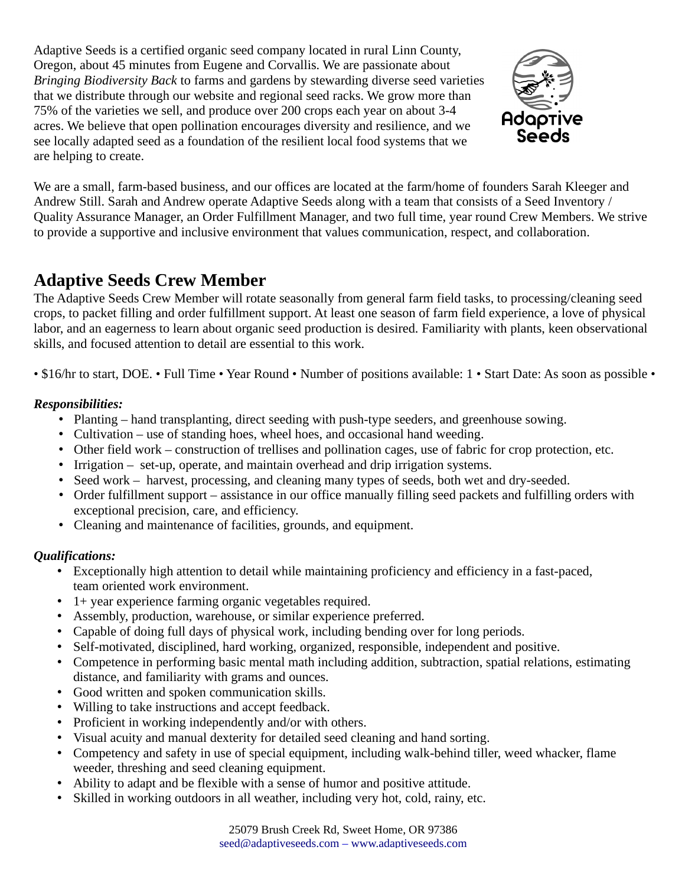Adaptive Seeds is a certified organic seed company located in rural Linn County, Oregon, about 45 minutes from Eugene and Corvallis. We are passionate about *Bringing Biodiversity Back* to farms and gardens by stewarding diverse seed varieties that we distribute through our website and regional seed racks. We grow more than 75% of the varieties we sell, and produce over 200 crops each year on about 3-4 acres. We believe that open pollination encourages diversity and resilience, and we see locally adapted seed as a foundation of the resilient local food systems that we are helping to create.



We are a small, farm-based business, and our offices are located at the farm/home of founders Sarah Kleeger and Andrew Still. Sarah and Andrew operate Adaptive Seeds along with a team that consists of a Seed Inventory / Quality Assurance Manager, an Order Fulfillment Manager, and two full time, year round Crew Members. We strive to provide a supportive and inclusive environment that values communication, respect, and collaboration.

# **Adaptive Seeds Crew Member**

The Adaptive Seeds Crew Member will rotate seasonally from general farm field tasks, to processing/cleaning seed crops, to packet filling and order fulfillment support. At least one season of farm field experience, a love of physical labor, and an eagerness to learn about organic seed production is desired. Familiarity with plants, keen observational skills, and focused attention to detail are essential to this work.

• \$16/hr to start, DOE. • Full Time • Year Round • Number of positions available: 1 • Start Date: As soon as possible •

### *Responsibilities:*

- Planting hand transplanting, direct seeding with push-type seeders, and greenhouse sowing.
- Cultivation use of standing hoes, wheel hoes, and occasional hand weeding.
- Other field work construction of trellises and pollination cages, use of fabric for crop protection, etc.
- Irrigation set-up, operate, and maintain overhead and drip irrigation systems.
- Seed work harvest, processing, and cleaning many types of seeds, both wet and dry-seeded.
- Order fulfillment support assistance in our office manually filling seed packets and fulfilling orders with exceptional precision, care, and efficiency.
- Cleaning and maintenance of facilities, grounds, and equipment.

## *Qualifications:*

- Exceptionally high attention to detail while maintaining proficiency and efficiency in a fast-paced, team oriented work environment.
- 1+ year experience farming organic vegetables required.
- Assembly, production, warehouse, or similar experience preferred.
- Capable of doing full days of physical work, including bending over for long periods.
- Self-motivated, disciplined, hard working, organized, responsible, independent and positive.
- Competence in performing basic mental math including addition, subtraction, spatial relations, estimating distance, and familiarity with grams and ounces.
- Good written and spoken communication skills.
- Willing to take instructions and accept feedback.
- Proficient in working independently and/or with others.
- Visual acuity and manual dexterity for detailed seed cleaning and hand sorting.
- Competency and safety in use of special equipment, including walk-behind tiller, weed whacker, flame weeder, threshing and seed cleaning equipment.
- Ability to adapt and be flexible with a sense of humor and positive attitude.
- Skilled in working outdoors in all weather, including very hot, cold, rainy, etc.